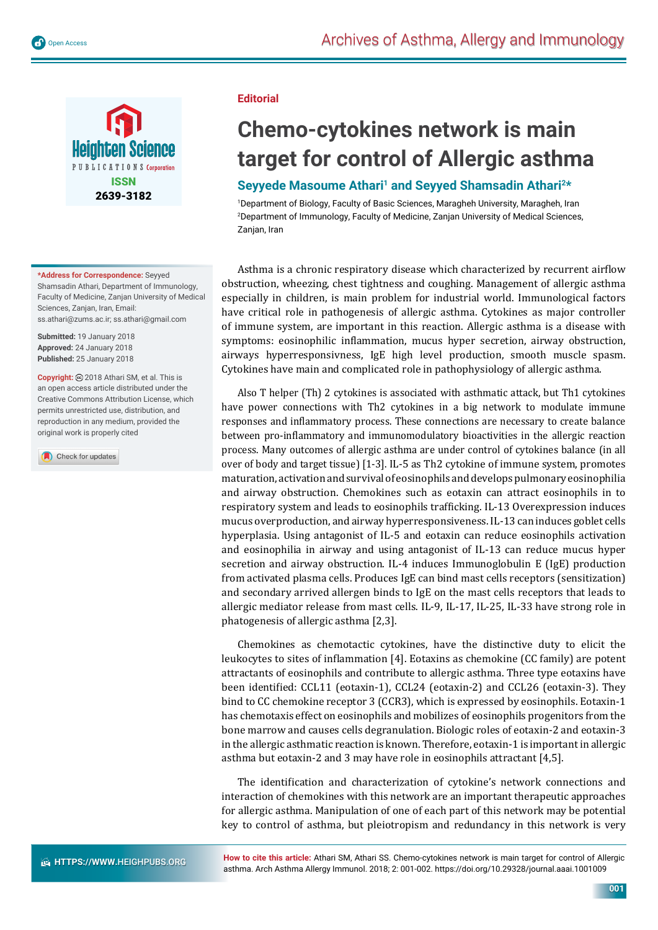

**\*Address for Correspondence:** Seyyed Shamsadin Athari, Department of Immunology, Faculty of Medicine, Zanjan University of Medical Sciences, Zanjan, Iran, Email: ss.athari@zums.ac.ir; ss.athari@gmail.com

**Submitted:** 19 January 2018 **Approved:** 24 January 2018 **Published:** 25 January 2018

**Copyright:** 2018 Athari SM, et al. This is an open access article distributed under the Creative Commons Attribution License, which permits unrestricted use, distribution, and reproduction in any medium, provided the original work is properly cited

Check for updates

## **Editorial**

## **Chemo-cytokines network is main target for control of Allergic asthma**

## Seyyede Masoume Athari<sup>1</sup> and Seyyed Shamsadin Athari<sup>2\*</sup>

1 Department of Biology, Faculty of Basic Sciences, Maragheh University, Maragheh, Iran 2 Department of Immunology, Faculty of Medicine, Zanjan University of Medical Sciences, Zanjan, Iran

Asthma is a chronic respiratory disease which characterized by recurrent airflow obstruction, wheezing, chest tightness and coughing. Management of allergic asthma especially in children, is main problem for industrial world. Immunological factors have critical role in pathogenesis of allergic asthma. Cytokines as major controller of immune system, are important in this reaction. Allergic asthma is a disease with symptoms: eosinophilic inflammation, mucus hyper secretion, airway obstruction, airways hyperresponsivness, IgE high level production, smooth muscle spasm. Cytokines have main and complicated role in pathophysiology of allergic asthma.

Also T helper (Th) 2 cytokines is associated with asthmatic attack, but Th1 cytokines have power connections with Th2 cytokines in a big network to modulate immune responses and inflammatory process. These connections are necessary to create balance between pro-inflammatory and immunomodulatory bioactivities in the allergic reaction process. Many outcomes of allergic asthma are under control of cytokines balance (in all over of body and target tissue) [1-3]. IL-5 as Th2 cytokine of immune system, promotes maturation, activation and survival of eosinophils and develops pulmonary eosinophilia and airway obstruction. Chemokines such as eotaxin can attract eosinophils in to respiratory system and leads to eosinophils trafficking. IL-13 Overexpression induces mucus overproduction, and airway hyperresponsiveness. IL-13 can induces goblet cells hyperplasia. Using antagonist of IL-5 and eotaxin can reduce eosinophils activation and eosinophilia in airway and using antagonist of IL-13 can reduce mucus hyper secretion and airway obstruction. IL-4 induces Immunoglobulin E (IgE) production from activated plasma cells. Produces IgE can bind mast cells receptors (sensitization) and secondary arrived allergen binds to IgE on the mast cells receptors that leads to allergic mediator release from mast cells. IL-9, IL-17, IL-25, IL-33 have strong role in phatogenesis of allergic asthma [2,3].

Chemokines as chemotactic cytokines, have the distinctive duty to elicit the leukocytes to sites of inflammation [4]. Eotaxins as chemokine (CC family) are potent attractants of eosinophils and contribute to allergic asthma. Three type eotaxins have been identified: CCL11 (eotaxin-1), CCL24 (eotaxin-2) and CCL26 (eotaxin-3). They bind to CC chemokine receptor 3 (CCR3), which is expressed by eosinophils. Eotaxin-1 has chemotaxis effect on eosinophils and mobilizes of eosinophils progenitors from the bone marrow and causes cells degranulation. Biologic roles of eotaxin-2 and eotaxin-3 in the allergic asthmatic reaction is known. Therefore, eotaxin-1 is important in allergic asthma but eotaxin-2 and 3 may have role in eosinophils attractant [4,5].

The identification and characterization of cytokine's network connections and interaction of chemokines with this network are an important therapeutic approaches for allergic asthma. Manipulation of one of each part of this network may be potential key to control of asthma, but pleiotropism and redundancy in this network is very

**How to cite this article:** Athari SM, Athari SS. Chemo-cytokines network is main target for control of Allergic asthma. Arch Asthma Allergy Immunol. 2018; 2: 001-002. https://doi.org/10.29328/journal.aaai.1001009